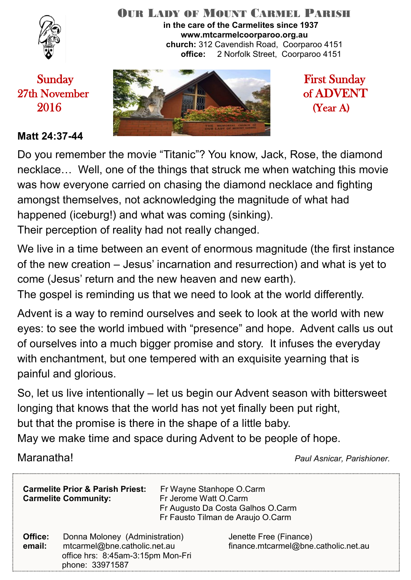

#### OUR LADY OF MOUNT CARMEL PARISH **in the care of the Carmelites since 1937 www.mtcarmelcoorparoo.org.au church:** 312 Cavendish Road, Coorparoo 4151 **office:** 2 Norfolk Street, Coorparoo 4151

#### **Matt 24:37-44**



Do you remember the movie "Titanic"? You know, Jack, Rose, the diamond necklace… Well, one of the things that struck me when watching this movie was how everyone carried on chasing the diamond necklace and fighting amongst themselves, not acknowledging the magnitude of what had happened (iceburg!) and what was coming (sinking). Their perception of reality had not really changed.

We live in a time between an event of enormous magnitude (the first instance of the new creation – Jesus' incarnation and resurrection) and what is yet to come (Jesus' return and the new heaven and new earth).

The gospel is reminding us that we need to look at the world differently.

Advent is a way to remind ourselves and seek to look at the world with new eyes: to see the world imbued with "presence" and hope. Advent calls us out of ourselves into a much bigger promise and story. It infuses the everyday with enchantment, but one tempered with an exquisite yearning that is painful and glorious.

So, let us live intentionally – let us begin our Advent season with bittersweet longing that knows that the world has not yet finally been put right, but that the promise is there in the shape of a little baby.

May we make time and space during Advent to be people of hope.

Maranatha! *Paul Asnicar, Parishioner.*

| <b>Carmelite Prior &amp; Parish Priest:</b><br><b>Carmelite Community:</b> |                                                                                                                        | Fr Wayne Stanhope O.Carm<br>Fr Jerome Watt O.Carm<br>Fr Augusto Da Costa Galhos O.Carm<br>Fr Fausto Tilman de Araujo O.Carm |                                                                |
|----------------------------------------------------------------------------|------------------------------------------------------------------------------------------------------------------------|-----------------------------------------------------------------------------------------------------------------------------|----------------------------------------------------------------|
| Office:<br>email:                                                          | Donna Moloney (Administration)<br>mtcarmel@bne.catholic.net.au<br>office hrs: 8:45am-3:15pm Mon-Fri<br>phone: 33971587 |                                                                                                                             | Jenette Free (Finance)<br>finance.mtcarmel@bne.catholic.net.au |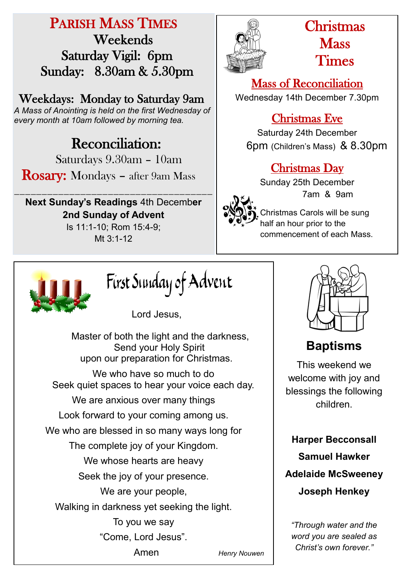# PARISH MASS TIMES Weekends Saturday Vigil: 6pm Sunday: 8.30am & 5.30pm

Weekdays: Monday to Saturday 9am

*A Mass of Anointing is held on the first Wednesday of every month at 10am followed by morning tea.*

# **Reconciliation:**

Saturdays 9.30am – 10am

Rosary: Mondays – after 9am Mass

\_\_\_\_\_\_\_\_\_\_\_\_\_\_\_\_\_\_\_\_\_\_\_\_\_\_\_\_\_\_\_\_\_\_\_\_ **Next Sunday's Readings** 4th Decemb**er 2nd Sunday of Advent**  Is 11:1-10; Rom 15:4-9;

Mt 3:1-12



# Christmas **Mass** Times

Mass of Reconciliation Wednesday 14th December 7.30pm

## Christmas Eve

Saturday 24th December 6pm (Children's Mass) & 8.30pm

## Christmas Day

Sunday 25th December 7am & 9am

Christmas Carols will be sung half an hour prior to the commencement of each Mass.



First Sunday of Advent

Lord Jesus,

 Master of both the light and the darkness, Send your Holy Spirit upon our preparation for Christmas. We who have so much to do Seek quiet spaces to hear your voice each day. We are anxious over many things Look forward to your coming among us. We who are blessed in so many ways long for The complete joy of your Kingdom. We whose hearts are heavy Seek the joy of your presence. We are your people, Walking in darkness yet seeking the light. To you we say "Come, Lord Jesus". Amen *Henry Nouwen*



# **Baptisms**

This weekend we welcome with joy and blessings the following children.

**Harper Becconsall Samuel Hawker Adelaide McSweeney Joseph Henkey**

*"Through water and the word you are sealed as Christ's own forever."*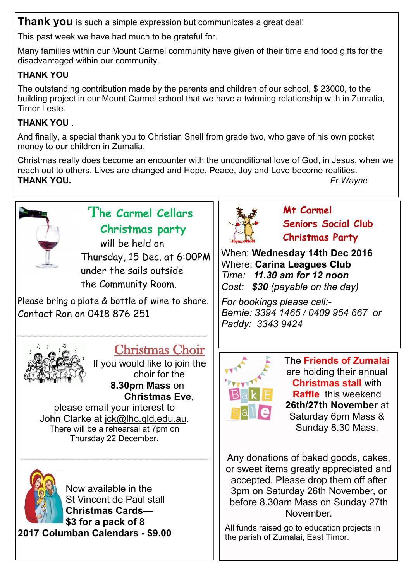**Thank you** is such a simple expression but communicates a great deal!

This past week we have had much to be grateful for.

Many families within our Mount Carmel community have given of their time and food gifts for the disadvantaged within our community.

## **THANK YOU**

The outstanding contribution made by the parents and children of our school, \$ 23000, to the building project in our Mount Carmel school that we have a twinning relationship with in Zumalia, Timor Leste.

## **THANK YOU** .

And finally, a special thank you to Christian Snell from grade two, who gave of his own pocket money to our children in Zumalia.

Christmas really does become an encounter with the unconditional love of God, in Jesus, when we reach out to others. Lives are changed and Hope, Peace, Joy and Love become realities. **THANK YOU.** *Fr.Wayne*



## T**he Carmel Cellars Christmas party**

will be held on Thursday, 15 Dec. at 6:00PM under the sails outside the Community Room.

Please bring a plate & bottle of wine to share. Contact Ron on 0418 876 251

\_\_\_\_\_\_\_\_\_\_\_\_\_\_\_\_\_\_\_\_\_\_\_\_\_\_\_\_\_\_\_



# Christmas Choir

If you would like to join the choir for the **8.30pm Mass** on **Christmas Eve**,

please email your interest to John Clarke at [jck@lhc.qld.edu.au.](mailto:jck@lhc.qld.edu.au) There will be a rehearsal at 7pm on Thursday 22 December.

 $\sim$  , and the set of the set of the set of the set of the set of the set of the set of the set of the set of the set of the set of the set of the set of the set of the set of the set of the set of the set of the set of t



Now available in the St Vincent de Paul stall **Christmas Cards— \$3 for a pack of 8 2017 Columban Calendars - \$9.00**



**Mt Carmel Seniors Social Club Christmas Party**

When: **Wednesday 14th Dec 2016** Where: **Carina Leagues Club** *Time: 11.30 am for 12 noon Cost: \$30 (payable on the day)*

*For bookings please call:- Bernie: 3394 1465 / 0409 954 667 or Paddy: 3343 9424* 



The **Friends of Zumalai**  are holding their annual **Christmas stall** with **Raffle** this weekend **26th/27th November** at Saturday 6pm Mass & Sunday 8.30 Mass.

Any donations of baked goods, cakes, or sweet items greatly appreciated and accepted. Please drop them off after 3pm on Saturday 26th November, or before 8.30am Mass on Sunday 27th November.

All funds raised go to education projects in the parish of Zumalai, East Timor.